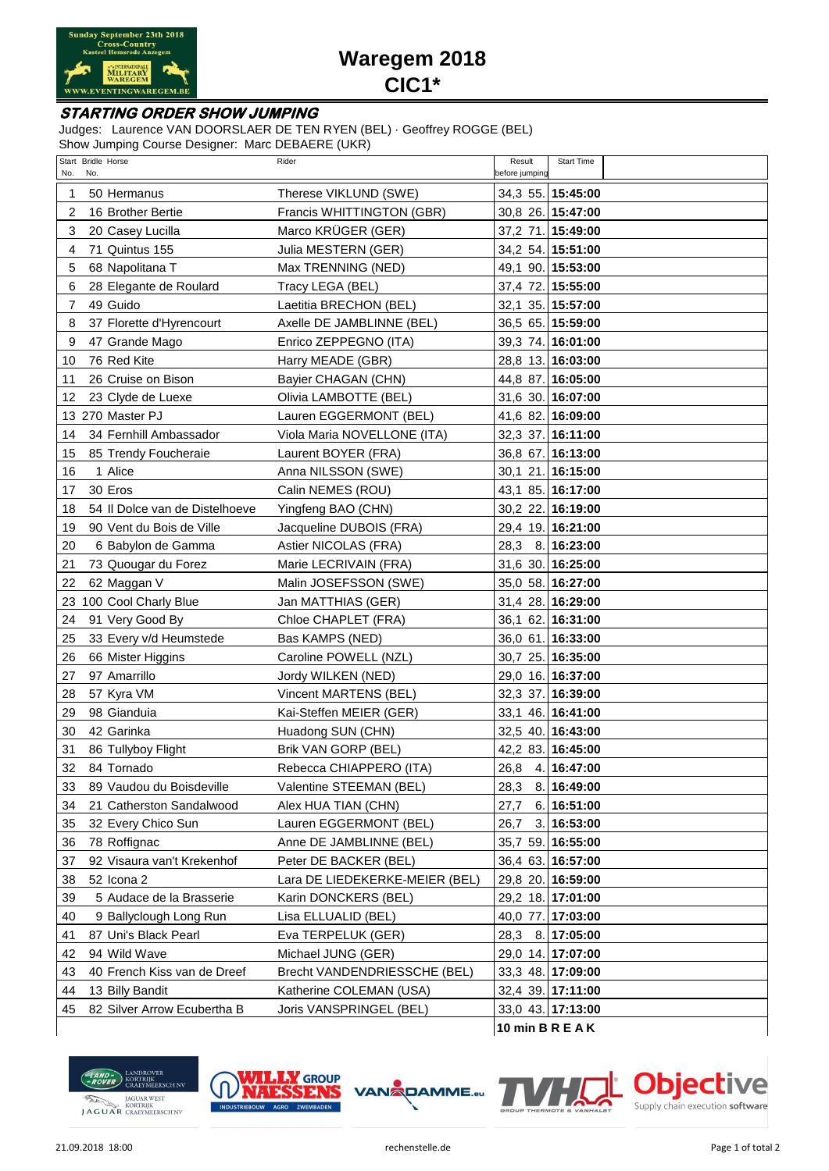

## **Waregem 2018 CIC1\***

## **STARTING ORDER SHOW JUMPING**

Judges: Laurence VAN DOORSLAER DE TEN RYEN (BEL) · Geoffrey ROGGE (BEL)

Show Jumping Course Designer: Marc DEBAERE (UKR)

| Start Bridle Horse<br>No.<br>No.     | Rider                          | Start Time<br>Result<br>before jumping |
|--------------------------------------|--------------------------------|----------------------------------------|
| 50 Hermanus<br>1                     | Therese VIKLUND (SWE)          | 34,3 55. 15:45:00                      |
| 2<br>16 Brother Bertie               | Francis WHITTINGTON (GBR)      | 30,8 26. 15:47:00                      |
| 3<br>20 Casey Lucilla                | Marco KRÜGER (GER)             | 37,2 71. 15:49:00                      |
| 71 Quintus 155<br>4                  | Julia MESTERN (GER)            | 34,2 54. 15:51:00                      |
| 68 Napolitana T<br>5                 | Max TRENNING (NED)             | 49,1 90. 15:53:00                      |
| 28 Elegante de Roulard<br>6          | Tracy LEGA (BEL)               | 37,4 72. 15:55:00                      |
| 49 Guido<br>7                        | Laetitia BRECHON (BEL)         | 32,1 35. 15:57:00                      |
| 37 Florette d'Hyrencourt<br>8        | Axelle DE JAMBLINNE (BEL)      | 36,5 65. 15:59:00                      |
| 9<br>47 Grande Mago                  | Enrico ZEPPEGNO (ITA)          | 39,3 74. 16:01:00                      |
| 76 Red Kite<br>10                    | Harry MEADE (GBR)              | 28,8 13. 16:03:00                      |
| 26 Cruise on Bison<br>11             | Bayier CHAGAN (CHN)            | 44,8 87. 16:05:00                      |
| 12<br>23 Clyde de Luexe              | Olivia LAMBOTTE (BEL)          | 31,6 30. 16:07:00                      |
| 13 270 Master PJ                     | Lauren EGGERMONT (BEL)         | 41,6 82. 16:09:00                      |
| 34 Fernhill Ambassador<br>14         | Viola Maria NOVELLONE (ITA)    | 32,3 37. 16:11:00                      |
| 85 Trendy Foucheraie<br>15           | Laurent BOYER (FRA)            | 36,8 67. 16:13:00                      |
| 1 Alice<br>16                        | Anna NILSSON (SWE)             | 30,1 21. 16:15:00                      |
| 30 Eros<br>17                        | Calin NEMES (ROU)              | 43,1 85. 16:17:00                      |
| 54 Il Dolce van de Distelhoeve<br>18 | Yingfeng BAO (CHN)             | 30,2 22. 16:19:00                      |
| 90 Vent du Bois de Ville<br>19       | Jacqueline DUBOIS (FRA)        | 29,4 19. 16:21:00                      |
| 20<br>6 Babylon de Gamma             | Astier NICOLAS (FRA)           | 28,3 8. 16:23:00                       |
| 21<br>73 Quougar du Forez            | Marie LECRIVAIN (FRA)          | 31,6 30. 16:25:00                      |
| 62 Maggan V<br>22                    | Malin JOSEFSSON (SWE)          | 35,0 58. 16:27:00                      |
| 100 Cool Charly Blue<br>23           | Jan MATTHIAS (GER)             | 31,4 28. 16:29:00                      |
| 91 Very Good By<br>24                | Chloe CHAPLET (FRA)            | 36,1 62. 16:31:00                      |
| 33 Every v/d Heumstede<br>25         | Bas KAMPS (NED)                | 36,0 61. 16:33:00                      |
| 66 Mister Higgins<br>26              | Caroline POWELL (NZL)          | 30,7 25. 16:35:00                      |
| 27<br>97 Amarrillo                   | Jordy WILKEN (NED)             | 29,0 16. 16:37:00                      |
| 28<br>57 Kyra VM                     | Vincent MARTENS (BEL)          | 32,3 37. 16:39:00                      |
| 98 Gianduia<br>29                    | Kai-Steffen MEIER (GER)        | 33,1 46. 16:41:00                      |
| 30<br>42 Garinka                     | Huadong SUN (CHN)              | 32,5 40. 16:43:00                      |
| 86 Tullyboy Flight<br>31             | Brik VAN GORP (BEL)            | 42,2 83. 16:45:00                      |
| 32<br>84 Tornado                     | Rebecca CHIAPPERO (ITA)        | 26,8 4. 16:47:00                       |
| 89 Vaudou du Boisdeville<br>33       | Valentine STEEMAN (BEL)        | 28,3<br>8. 16:49:00                    |
| 34<br>21 Catherston Sandalwood       | Alex HUA TIAN (CHN)            | 6.16:51:00<br>27,7                     |
| 32 Every Chico Sun<br>35             | Lauren EGGERMONT (BEL)         | 3.16:53:00<br>26,7                     |
| 78 Roffignac<br>36                   | Anne DE JAMBLINNE (BEL)        | 35,7 59. 16:55:00                      |
| 92 Visaura van't Krekenhof<br>37     | Peter DE BACKER (BEL)          | 36,4 63. 16:57:00                      |
| 38<br>52 Icona 2                     | Lara DE LIEDEKERKE-MEIER (BEL) | 29,8 20. 16:59:00                      |
| 39<br>5 Audace de la Brasserie       | Karin DONCKERS (BEL)           | 29,2 18. 17:01:00                      |
| 9 Ballyclough Long Run<br>40         | Lisa ELLUALID (BEL)            | 40,0 77.<br>17:03:00                   |
| 87 Uni's Black Pearl<br>41           | Eva TERPELUK (GER)             | 28,3<br>8. 17:05:00                    |
| 94 Wild Wave<br>42                   | Michael JUNG (GER)             | 29,0 14. 17:07:00                      |
| 40 French Kiss van de Dreef<br>43    | Brecht VANDENDRIESSCHE (BEL)   | 33,3 48. 17:09:00                      |
| 44<br>13 Billy Bandit                | Katherine COLEMAN (USA)        | 32,4 39. 17:11:00                      |
| 82 Silver Arrow Ecubertha B<br>45    | Joris VANSPRINGEL (BEL)        | 33,0 43. 17:13:00                      |
|                                      |                                | 10 min B R E A K                       |







ve CI